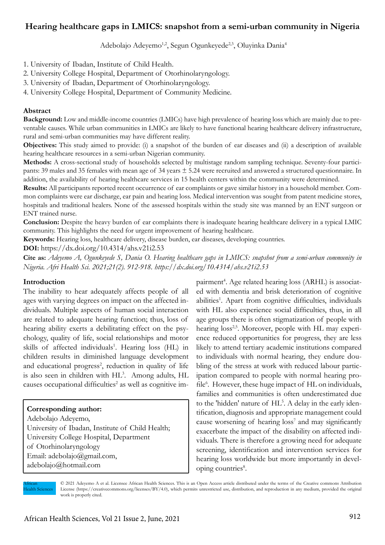# **Hearing healthcare gaps in LMICS: snapshot from a semi-urban community in Nigeria**

Adebolajo Adeyemo<sup>1,2</sup>, Segun Ogunkeyede<sup>2,3</sup>, Oluyinka Dania<sup>4</sup>

- 1. University of Ibadan, Institute of Child Health.
- 2. University College Hospital, Department of Otorhinolaryngology.
- 3. University of Ibadan, Department of Otorhinolaryngology.
- 4. University College Hospital, Department of Community Medicine.

#### **Abstract**

**Background:** Low and middle-income countries (LMICs) have high prevalence of hearing loss which are mainly due to preventable causes. While urban communities in LMICs are likely to have functional hearing healthcare delivery infrastructure, rural and semi-urban communities may have different reality.

**Objectives:** This study aimed to provide: (i) a snapshot of the burden of ear diseases and (ii) a description of available hearing healthcare resources in a semi-urban Nigerian community.

**Methods:** A cross-sectional study of households selected by multistage random sampling technique. Seventy-four participants: 39 males and 35 females with mean age of 34 years  $\pm$  5.24 were recruited and answered a structured questionnaire. In addition, the availability of hearing healthcare services in 15 health centers within the community were determined.

**Results:** All participants reported recent occurrence of ear complaints or gave similar history in a household member. Common complaints were ear discharge, ear pain and hearing loss. Medical intervention was sought from patent medicine stores, hospitals and traditional healers. None of the assessed hospitals within the study site was manned by an ENT surgeon or ENT trained nurse.

**Conclusion:** Despite the heavy burden of ear complaints there is inadequate hearing healthcare delivery in a typical LMIC community. This highlights the need for urgent improvement of hearing healthcare.

**Keywords:** Hearing loss, healthcare delivery, disease burden, ear diseases, developing countries.

**DOI:** https://dx.doi.org/10.4314/ahs.v21i2.53

**Cite as:** *Adeyemo A, Ogunkeyede S, Dania O. Hearing healthcare gaps in LMICS: snapshot from a semi-urban community in Nigeria. Afri Health Sci. 2021;21(2). 912-918. https://dx.doi.org/10.4314/ahs.v21i2.53*

### **Introduction**

The inability to hear adequately affects people of all ages with varying degrees on impact on the affected individuals. Multiple aspects of human social interaction are related to adequate hearing function; thus, loss of hearing ability exerts a debilitating effect on the psychology, quality of life, social relationships and motor skills of affected individuals<sup>1</sup>. Hearing loss (HL) in children results in diminished language development and educational progress<sup>2</sup>, reduction in quality of life is also seen in children with HL<sup>3</sup>. Among adults, HL causes occupational difficulties<sup>2</sup> as well as cognitive im-

### **Corresponding author:**

Adebolajo Adeyemo, University of Ibadan, Institute of Child Health; University College Hospital, Department of Otorhinolaryngology Email: adebolajo@gmail.com, adebolajo@hotmail.com

pairment<sup>4</sup>. Age related hearing loss (ARHL) is associated with dementia and brisk deterioration of cognitive abilities<sup>1</sup>. Apart from cognitive difficulties, individuals with HL also experience social difficulties, thus, in all age groups there is often stigmatization of people with hearing loss<sup>2,5</sup>. Moreover, people with HL may experience reduced opportunities for progress, they are less likely to attend tertiary academic institutions compared to individuals with normal hearing, they endure doubling of the stress at work with reduced labour participation compared to people with normal hearing profile<sup>6</sup>. However, these huge impact of HL on individuals, families and communities is often underestimated due to the 'hidden' nature of HL<sup>5</sup>. A delay in the early identification, diagnosis and appropriate management could cause worsening of hearing loss<sup>7</sup> and may significantly exacerbate the impact of the disability on affected individuals. There is therefore a growing need for adequate screening, identification and intervention services for hearing loss worldwide but more importantly in developing countries<sup>8</sup>.

African **Iealth Sciences**  © 2021 Adeyemo A et al. Licensee African Health Sciences. This is an Open Access article distributed under the terms of the Creative commons Attribution License (https://creativecommons.org/licenses/BY/4.0), which permits unrestricted use, distribution, and reproduction in any medium, provided the original work is properly cited.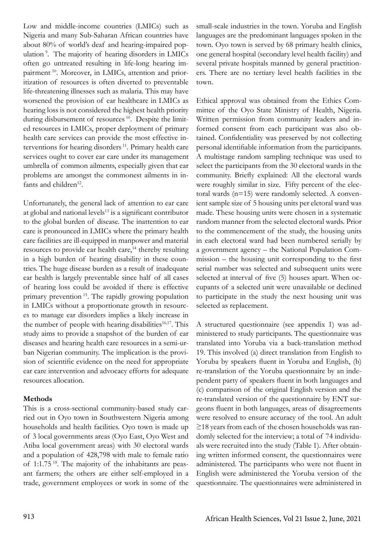Low and middle-income countries (LMICs) such as Nigeria and many Sub-Saharan African countries have about 80% of world's deaf and hearing-impaired population 9. The majority of hearing disorders in LMICs often go untreated resulting in life-long hearing impairment<sup>10</sup>. Moreover, in LMICs, attention and prioritization of resources is often diverted to preventable life-threatening illnesses such as malaria. This may have worsened the provision of ear healthcare in LMICs as hearing loss is not considered the highest health priority during disbursement of resources<sup>10</sup>. Despite the limited resources in LMICs, proper deployment of primary health care services can provide the most effective interventions for hearing disorders<sup>11</sup>. Primary health care services ought to cover ear care under its management umbrella of common ailments, especially given that ear problems are amongst the commonest ailments in infants and children<sup>12</sup>.

Unfortunately, the general lack of attention to ear care at global and national levels<sup>13</sup> is a significant contributor to the global burden of disease. The inattention to ear care is pronounced in LMICs where the primary health care facilities are ill-equipped in manpower and material resources to provide ear health care,<sup>14</sup> thereby resulting in a high burden of hearing disability in these countries. The huge disease burden as a result of inadequate ear health is largely preventable since half of all cases of hearing loss could be avoided if there is effective primary prevention 15. The rapidly growing population in LMICs without a proportionate growth in resources to manage ear disorders implies a likely increase in the number of people with hearing disabilities $16,17$ . This study aims to provide a snapshot of the burden of ear diseases and hearing health care resources in a semi-urban Nigerian community. The implication is the provision of scientific evidence on the need for appropriate ear care intervention and advocacy efforts for adequate resources allocation.

## **Methods**

This is a cross-sectional community-based study carried out in Oyo town in Southwestern Nigeria among households and health facilities. Oyo town is made up of 3 local governments areas (Oyo East, Oyo West and Atiba local government areas) with 30 electoral wards and a population of 428,798 with male to female ratio of 1:1.75 18. The majority of the inhabitants are peasant farmers; the others are either self-employed in a trade, government employees or work in some of the

small-scale industries in the town. Yoruba and English languages are the predominant languages spoken in the town. Oyo town is served by 68 primary health clinics, one general hospital (secondary level health facility) and several private hospitals manned by general practitioners. There are no tertiary level health facilities in the town.

Ethical approval was obtained from the Ethics Committee of the Oyo State Ministry of Health, Nigeria. Written permission from community leaders and informed consent from each participant was also obtained. Confidentiality was preserved by not collecting personal identifiable information from the participants. A multistage random sampling technique was used to select the participants from the 30 electoral wards in the community. Briefly explained: All the electoral wards were roughly similar in size. Fifty percent of the electoral wards (n=15) were randomly selected. A convenient sample size of 5 housing units per eletoral ward was made. These housing units were chosen in a systematic random manner from the selected electoral wards. Prior to the commencement of the study, the housing units in each electoral ward had been numbered serially by a government agency – the National Population Commission – the housing unit corresponding to the first serial number was selected and subsequent units were selected at interval of five (5) houses apart. When occupants of a selected unit were unavailable or declined to participate in the study the next housing unit was selected as replacement.

A structured questionnaire (see appendix 1) was administered to study participants. The questionnaire was translated into Yoruba via a back-translation method 19. This involved (a) direct translation from English to Yoruba by speakers fluent in Yoruba and English, (b) re-translation of the Yoruba questionnaire by an independent party of speakers fluent in both languages and (c) comparison of the original English version and the re-translated version of the questionnaire by ENT surgeons fluent in both languages, areas of disagreements were resolved to ensure accuracy of the tool. An adult ≥18 years from each of the chosen households was randomly selected for the interview; a total of 74 individuals were recruited into the study (Table 1). After obtaining written informed consent, the questionnaires were administered. The participants who were not fluent in English were administered the Yoruba version of the questionnaire. The questionnaires were administered in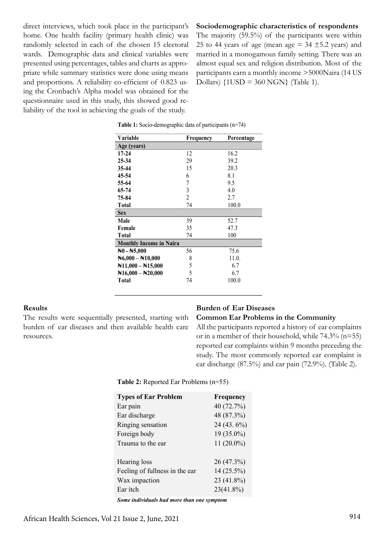direct interviews, which took place in the participant's home. One health facility (primary health clinic) was randomly selected in each of the chosen 15 electoral wards. Demographic data and clinical variables were presented using percentages, tables and charts as appropriate while summary statistics were done using means and proportions. A reliability co-efficient of 0.823 using the Cronbach's Alpha model was obtained for the questionnaire used in this study, this showed good reliability of the tool in achieving the goals of the study.

### **Sociodemographic characteristics of respondents**

The majority (59.5%) of the participants were within 25 to 44 years of age (mean age  $=$  34  $\pm$  5.2 years) and married in a monogamous family setting. There was an almost equal sex and religion distribution. Most of the participants earn a monthly income >5000Naira (14 US Dollars) {1USD = 360 NGN} (Table 1).

| Variable                          | Frequency | Percentage |
|-----------------------------------|-----------|------------|
| Age (years)                       |           |            |
| $17 - 24$                         | 12        | 16.2       |
| $25 - 34$                         | 29        | 39.2       |
| 35-44                             | 15        | 20.3       |
| 45-54                             | 6         | 8.1        |
| 55-64                             | 7         | 9.5        |
| 65-74                             | 3         | 4.0        |
| 75-84                             | 2         | 2.7        |
| <b>Total</b>                      | 74        | 100.0      |
| <b>Sex</b>                        |           |            |
| Male                              | 39        | 52.7       |
| Female                            | 35        | 47.3       |
| <b>Total</b>                      | 74        | 100        |
| <b>Monthly Income in Naira</b>    |           |            |
| $\text{N0 - N5,000}$              | 56        | 75.6       |
| $\text{N}6,000 - \text{N}10,000$  | 8         | 11.0.      |
| $\text{N11,000} - \text{N15,000}$ | 5         | 6.7        |
| $\text{N16,000} - \text{N20,000}$ | 5         | 6.7        |
| Total                             | 74        | 100.0      |
|                                   |           |            |

|  |  |  | <b>Table 1:</b> Socio-demographic data of participants $(n=74)$ |  |
|--|--|--|-----------------------------------------------------------------|--|
|  |  |  |                                                                 |  |

#### **Results**

The results were sequentially presented, starting with burden of ear diseases and then available health care resources.

### **Burden of Ear Diseases**

### **Common Ear Problems in the Community**

All the participants reported a history of ear complaints or in a member of their household, while  $74.3\%$  (n=55) reported ear complaints within 9 months preceding the study. The most commonly reported ear complaint is ear discharge (87.5%) and ear pain (72.9%). (Table 2).

**Table 2:** Reported Ear Problems (n=55)

| <b>Types of Ear Problem</b>                | Frequency    |  |  |  |
|--------------------------------------------|--------------|--|--|--|
| Ear pain                                   | 40 (72.7%)   |  |  |  |
| Ear discharge                              | 48 (87.3%)   |  |  |  |
| Ringing sensation                          | 24 (43. 6%)  |  |  |  |
| Foreign body                               | 19 (35.0%)   |  |  |  |
| Trauma to the ear                          | $11(20.0\%)$ |  |  |  |
|                                            |              |  |  |  |
| Hearing loss                               | 26 (47.3%)   |  |  |  |
| Feeling of fullness in the ear             | $14(25.5\%)$ |  |  |  |
| Wax impaction                              | 23 (41.8%)   |  |  |  |
| Ear itch                                   | $23(41.8\%)$ |  |  |  |
| Some individuals had more than one symptom |              |  |  |  |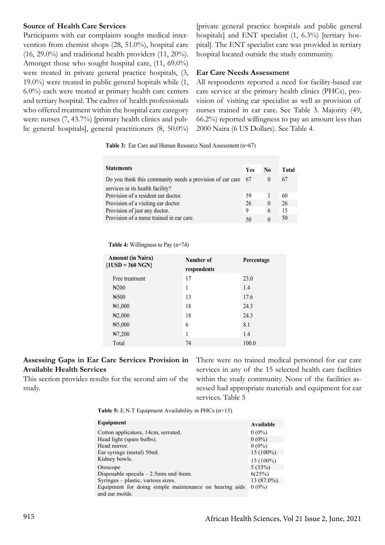### **Source of Health Care Services**

Participants with ear complaints sought medical intervention from chemist shops (28, 51.0%), hospital care  $(16, 29.0\%)$  and traditional health providers  $(11, 20\%).$ Amongst those who sought hospital care, (11, 69.0%) were treated in private general practice hospitals, (3, 19.0%) were treated in public general hopitals while (1, 6.0%) each were treated at primary health care centers and tertiary hospital. The cadres of health professionals who offered treatment within the hospital care category were: nurses (7, 43.7%) [primary health clinics and public general hospitals], general practitioners (8, 50.0%)

[private general practice hospitals and public general hospitals] and ENT specialist (1, 6.3%) [tertiary hospital]. The ENT specialist care was provided in tertiary hospital located outside the study community.

### **Ear Care Needs Assessment**

All respondents reported a need for facility-based ear care service at the primary health clinics (PHCs), provision of visiting ear specialist as well as provision of nurses trained in ear care. See Table 3. Majority (49, 66.2%) reported willingness to pay an amount less than 2000 Naira (6 US Dollars). See Table 4.

**Table 3:** Ear Care and Human Resource Need Assessment (n=67)

| <b>Statements</b>                                              | <b>Yes</b> | N <sub>0</sub> | Total |
|----------------------------------------------------------------|------------|----------------|-------|
| Do you think this community needs a provision of ear care $67$ |            |                | 67    |
| services in its health facility?                               |            |                |       |
| Provision of a resident ear doctor.                            | 59         |                | 60    |
| Provision of a visiting ear doctor.                            | 26         | $\theta$       | 26    |
| Provision of just any doctor.                                  | 9          | 6              | 15    |
| Provision of a nurse trained in ear care.                      |            |                | 50    |

 **Table 4:** Willingness to Pay (n=74)

| <b>Amount (in Naira)</b><br>${1USD} = 360 NGN$ | Number of<br>respondents | Percentage |
|------------------------------------------------|--------------------------|------------|
| Free treatment                                 | 17                       | 23.0       |
| H <sub>200</sub>                               | 1                        | 1.4        |
| H <sub>500</sub>                               | 13                       | 17.6       |
| H1,000                                         | 18                       | 24.3       |
| $\yen$ 2,000                                   | 18                       | 24.3       |
| H5,000                                         | 6                        | 8.1        |
| H7,200                                         |                          | 1.4        |
| Total                                          | 74                       | 100.0      |

## **Assessing Gaps in Ear Care Services Provision in Available Health Services**

This section provides results for the second aim of the study.

There were no trained medical personnel for ear care services in any of the 15 selected health care facilities within the study community. None of the facilities assessed had appropriate materials and equipment for ear services. Table 5

**Table 5:** E.N.T Equipment Availability in PHCs (n=15)

| Equipment                                                                | Available      |
|--------------------------------------------------------------------------|----------------|
| Cotton applicators, 14cm, serrated.                                      | $0(0\%)$       |
| Head light (spare bulbs).                                                | $0(0\%)$       |
| Head mirror.                                                             | $0(0\%)$       |
| Ear syringe (metal) 50ml.                                                | $15(100\%)$    |
| Kidney bowls.                                                            | $15(100\%)$    |
| Otoscope                                                                 | 5(33%)         |
| Disposable specula $-2.5$ mm and 4mm.                                    | 6(25%)         |
| Syringes - plastic, various sizes.                                       | $13(87.0\%)$ . |
| Equipment for doing simple maintenance on hearing aids<br>and ear molds. | $0(0\%)$       |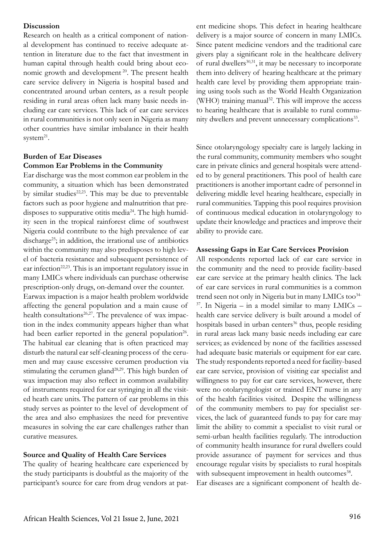### **Discussion**

Research on health as a critical component of national development has continued to receive adequate attention in literature due to the fact that investment in human capital through health could bring about economic growth and development<sup>20</sup>. The present health care service delivery in Nigeria is hospital based and concentrated around urban centers, as a result people residing in rural areas often lack many basic needs including ear care services. This lack of ear care services in rural communities is not only seen in Nigeria as many other countries have similar imbalance in their health system $^{21}$ .

### **Burden of Ear Diseases Common Ear Problems in the Community**

Ear discharge was the most common ear problem in the community, a situation which has been demonstrated by similar studies $22,23$ . This may be due to preventable factors such as poor hygiene and malnutrition that predisposes to suppurative otitis media<sup>24</sup>. The high humidity seen in the tropical rainforest clime of southwest Nigeria could contribute to the high prevalence of ear discharge<sup>25</sup>; in addition, the irrational use of antibiotics within the community may also predisposes to high level of bacteria resistance and subsequent persistence of ear infection<sup>22,23</sup>. This is an important regulatory issue in many LMICs where individuals can purchase otherwise prescription-only drugs, on-demand over the counter. Earwax impaction is a major health problem worldwide affecting the general population and a main cause of health consultations<sup>26,27</sup>. The prevalence of wax impaction in the index community appears higher than what had been earlier reported in the general population<sup>26</sup>. The habitual ear cleaning that is often practiced may disturb the natural ear self-cleaning process of the cerumen and may cause excessive cerumen production via stimulating the cerumen gland<sup>28,29</sup>. This high burden of wax impaction may also reflect in common availability of instruments required for ear syringing in all the visited heath care units. The pattern of ear problems in this study serves as pointer to the level of development of the area and also emphasizes the need for preventive measures in solving the ear care challenges rather than curative measures.

### **Source and Quality of Health Care Services**

The quality of hearing healthcare care experienced by the study participants is doubtful as the majority of the participant's source for care from drug vendors at pat-

ent medicine shops. This defect in hearing healthcare delivery is a major source of concern in many LMICs. Since patent medicine vendors and the traditional care givers play a significant role in the healthcare delivery of rural dwellers<sup>30,31</sup>, it may be necessary to incorporate them into delivery of hearing healthcare at the primary health care level by providing them appropriate training using tools such as the World Health Organization (WHO) training manual<sup>32</sup>. This will improve the access to hearing healthcare that is available to rural community dwellers and prevent unnecessary complications<sup>33</sup>.

Since otolaryngology specialty care is largely lacking in the rural community, community members who sought care in private clinics and general hospitals were attended to by general practitioners. This pool of health care practitioners is another important cadre of personnel in delivering middle level hearing healthcare, especially in rural communities. Tapping this pool requires provision of continuous medical education in otolaryngology to update their knowledge and practices and improve their ability to provide care.

### **Assessing Gaps in Ear Care Services Provision**

All respondents reported lack of ear care service in the community and the need to provide facility-based ear care service at the primary health clinics. The lack of ear care services in rural communities is a common trend seen not only in Nigeria but in many LMICs too<sup>34</sup>  $37$ . In Nigeria – in a model similar to many LMICs – health care service delivery is built around a model of hospitals based in urban centers<sup>36</sup> thus, people residing in rural areas lack many basic needs including ear care services; as evidenced by none of the facilities assessed had adequate basic materials or equipment for ear care. The study respondents reported a need for facility-based ear care service, provision of visiting ear specialist and willingness to pay for ear care services, however, there were no otolaryngologist or trained ENT nurse in any of the health facilities visited. Despite the willingness of the community members to pay for specialist services, the lack of guaranteed funds to pay for care may limit the ability to commit a specialist to visit rural or semi-urban health facilities regularly. The introduction of community health insurance for rural dwellers could provide assurance of payment for services and thus encourage regular visits by specialists to rural hospitals with subsequent improvement in health outcomes<sup>38</sup>.

Ear diseases are a significant component of health de-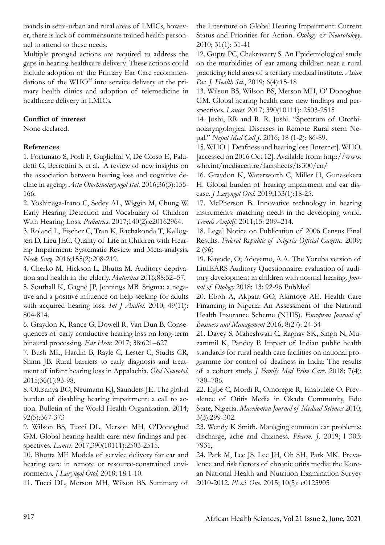mands in semi-urban and rural areas of LMICs, however, there is lack of commensurate trained health personnel to attend to these needs.

Multiple pronged actions are required to address the gaps in hearing healthcare delivery. These actions could include adoption of the Primary Ear Care recommendations of the WHO<sup>32</sup> into service delivery at the primary health clinics and adoption of telemedicine in healthcare delivery in LMICs.

# **Conflict of interest**

None declared.

# **References**

1. Fortunato S, Forli F, Guglielmi V, De Corso E, Paludetti G, Berrettini S, et al. A review of new insights on the association between hearing loss and cognitive decline in ageing. *Acta Otorhinolaryngol Ital*. 2016;36(3):155- 166.

2. Yoshinaga-Itano C, Sedey AL, Wiggin M, Chung W. Early Hearing Detection and Vocabulary of Children With Hearing Loss. *Pediatrics*. 2017;140(2):e20162964.

3. Roland L, Fischer C, Tran K, Rachakonda T, Kallogjeri D, Lieu JEC. Quality of Life in Children with Hearing Impairment: Systematic Review and Meta-analysis. *Neck Surg*. 2016;155(2):208-219.

4. Cherko M, Hickson L, Bhutta M. Auditory deprivation and health in the elderly. *Maturitas* 2016;88:52–57.

5. Southall K, Gagné JP, Jennings MB. Stigma: a negative and a positive influence on help seeking for adults with acquired hearing loss. *Int J Audiol*. 2010; 49(11): 804-814.

6. Graydon K, Rance G, Dowell R, Van Dun B. Consequences of early conductive hearing loss on long-term binaural processing. *Ear Hear*. 2017; 38:621–627

7. Bush ML, Hardin B, Rayle C, Lester C, Studts CR, Shinn JB. Rural barriers to early diagnosis and treatment of infant hearing loss in Appalachia. *Otol Neurotol*. 2015;36(1):93-98.

8. Olusanya BO, Neumann KJ, Saunders JE. The global burden of disabling hearing impairment: a call to action. Bulletin of the World Health Organization. 2014; 92(5):367-373

9. Wilson BS, Tucci DL, Merson MH, O'Donoghue GM. Global hearing health care: new findings and perspectives. *Lancet*. 2017;390(10111):2503-2515.

10. Bhutta MF. Models of service delivery for ear and hearing care in remote or resource-constrained environments. *J Laryngol Otol*. 2018; 18:1-10.

11. Tucci DL, Merson MH, Wilson BS. Summary of

the Literature on Global Hearing Impairment: Current Status and Priorities for Action. *Otology & Neurotology*. 2010; 31(1): 31-41

12. Gupta PC, Chakravarty S. An Epidemiological study on the morbidities of ear among children near a rural practicing field area of a tertiary medical institute. *Asian Pac. J. Health Sci*., 2019; 6(4):15-18

13. Wilson BS, Wilson BS, Merson MH, O' Donoghue GM. Global hearing health care: new findings and perspectives. *Lancet*. 2017; 390(10111): 2503-2515

14. Joshi, RR and R. R. Joshi. "Spectrum of Otorhinolaryngological Diseases in Remote Rural stern Nepal." *Nepal Med Coll J*. 2016; 18 (1-2): 86-89.

15. WHO | Deafness and hearing loss [Internet]. WHO. [accessed on 2016 Oct 12]. Available from: http://www. who.int/mediacentre/factsheets/fs300/en/

16. Graydon K, Waterworth C, Miller H, Gunasekera H. Global burden of hearing impairment and ear disease. *J Laryngol Otol*. 2019;133(1):18-25.

17. McPherson B. Innovative technology in hearing instruments: matching needs in the developing world. *Trends Amplif*. 2011;15: 209–214.

18. Legal Notice on Publication of 2006 Census Final Results. *Federal Republic of Nigeria Official Gazette*. 2009; 2 (96)

19. Kayode, O; Adeyemo, A.A. The Yoruba version of LittlEARS Auditory Questionnaire: evaluation of auditory development in children with normal hearing. *Journal of Otology* 2018; 13: 92-96 PubMed

20. Eboh A, Akpata GO, Akintoye AE. Health Care Financing in Nigeria: An Assessment of the National Health Insurance Scheme (NHIS). *European Journal of Business and Management* 2016; 8(27): 24-34

21. Davey S, Maheshwari C, Raghav SK, Singh N, Muzammil K, Pandey P. Impact of Indian public health standards for rural health care facilities on national programme for control of deafness in India: The results of a cohort study. *J Family Med Prim Care*. 2018; 7(4): 780–786.

22. Egbe C, Mordi R, Omoregie R, Enabulele O. Prevalence of Otitis Media in Okada Community, Edo State, Nigeria. *Macedonian Journal of Medical Sciences* 2010; 3(3):299-302.

23. Wendy K Smith. Managing common ear problems: discharge, ache and dizziness. *Pharm. J*. 2019; l 303: 7931,

24. Park M, Lee JS, Lee JH, Oh SH, Park MK. Prevalence and risk factors of chronic otitis media: the Korean National Health and Nutrition Examination Survey 2010-2012. *PLoS One*. 2015; 10(5): e0125905